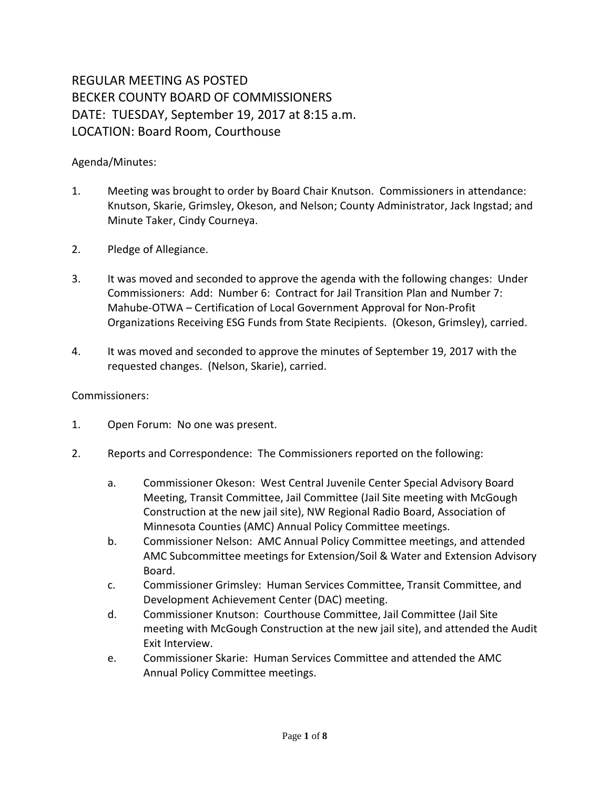## REGULAR MEETING AS POSTED BECKER COUNTY BOARD OF COMMISSIONERS DATE: TUESDAY, September 19, 2017 at 8:15 a.m. LOCATION: Board Room, Courthouse

## Agenda/Minutes:

- 1. Meeting was brought to order by Board Chair Knutson. Commissioners in attendance: Knutson, Skarie, Grimsley, Okeson, and Nelson; County Administrator, Jack Ingstad; and Minute Taker, Cindy Courneya.
- 2. Pledge of Allegiance.
- 3. It was moved and seconded to approve the agenda with the following changes: Under Commissioners: Add: Number 6: Contract for Jail Transition Plan and Number 7: Mahube-OTWA – Certification of Local Government Approval for Non-Profit Organizations Receiving ESG Funds from State Recipients. (Okeson, Grimsley), carried.
- 4. It was moved and seconded to approve the minutes of September 19, 2017 with the requested changes. (Nelson, Skarie), carried.

## Commissioners:

- 1. Open Forum: No one was present.
- 2. Reports and Correspondence: The Commissioners reported on the following:
	- a. Commissioner Okeson: West Central Juvenile Center Special Advisory Board Meeting, Transit Committee, Jail Committee (Jail Site meeting with McGough Construction at the new jail site), NW Regional Radio Board, Association of Minnesota Counties (AMC) Annual Policy Committee meetings.
	- b. Commissioner Nelson: AMC Annual Policy Committee meetings, and attended AMC Subcommittee meetings for Extension/Soil & Water and Extension Advisory Board.
	- c. Commissioner Grimsley: Human Services Committee, Transit Committee, and Development Achievement Center (DAC) meeting.
	- d. Commissioner Knutson: Courthouse Committee, Jail Committee (Jail Site meeting with McGough Construction at the new jail site), and attended the Audit Exit Interview.
	- e. Commissioner Skarie: Human Services Committee and attended the AMC Annual Policy Committee meetings.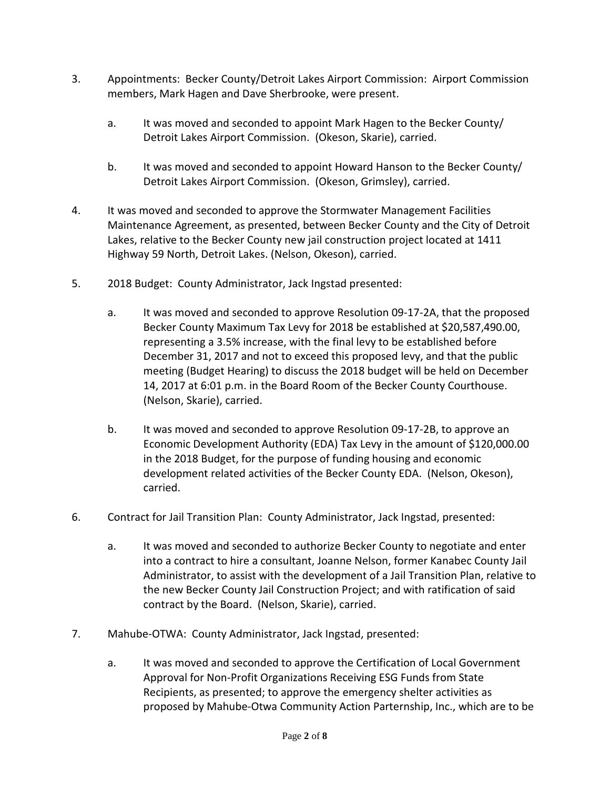- 3. Appointments: Becker County/Detroit Lakes Airport Commission: Airport Commission members, Mark Hagen and Dave Sherbrooke, were present.
	- a. It was moved and seconded to appoint Mark Hagen to the Becker County/ Detroit Lakes Airport Commission. (Okeson, Skarie), carried.
	- b. It was moved and seconded to appoint Howard Hanson to the Becker County/ Detroit Lakes Airport Commission. (Okeson, Grimsley), carried.
- 4. It was moved and seconded to approve the Stormwater Management Facilities Maintenance Agreement, as presented, between Becker County and the City of Detroit Lakes, relative to the Becker County new jail construction project located at 1411 Highway 59 North, Detroit Lakes. (Nelson, Okeson), carried.
- 5. 2018 Budget: County Administrator, Jack Ingstad presented:
	- a. It was moved and seconded to approve Resolution 09-17-2A, that the proposed Becker County Maximum Tax Levy for 2018 be established at \$20,587,490.00, representing a 3.5% increase, with the final levy to be established before December 31, 2017 and not to exceed this proposed levy, and that the public meeting (Budget Hearing) to discuss the 2018 budget will be held on December 14, 2017 at 6:01 p.m. in the Board Room of the Becker County Courthouse. (Nelson, Skarie), carried.
	- b. It was moved and seconded to approve Resolution 09-17-2B, to approve an Economic Development Authority (EDA) Tax Levy in the amount of \$120,000.00 in the 2018 Budget, for the purpose of funding housing and economic development related activities of the Becker County EDA. (Nelson, Okeson), carried.
- 6. Contract for Jail Transition Plan: County Administrator, Jack Ingstad, presented:
	- a. It was moved and seconded to authorize Becker County to negotiate and enter into a contract to hire a consultant, Joanne Nelson, former Kanabec County Jail Administrator, to assist with the development of a Jail Transition Plan, relative to the new Becker County Jail Construction Project; and with ratification of said contract by the Board. (Nelson, Skarie), carried.
- 7. Mahube-OTWA: County Administrator, Jack Ingstad, presented:
	- a. It was moved and seconded to approve the Certification of Local Government Approval for Non-Profit Organizations Receiving ESG Funds from State Recipients, as presented; to approve the emergency shelter activities as proposed by Mahube-Otwa Community Action Parternship, Inc., which are to be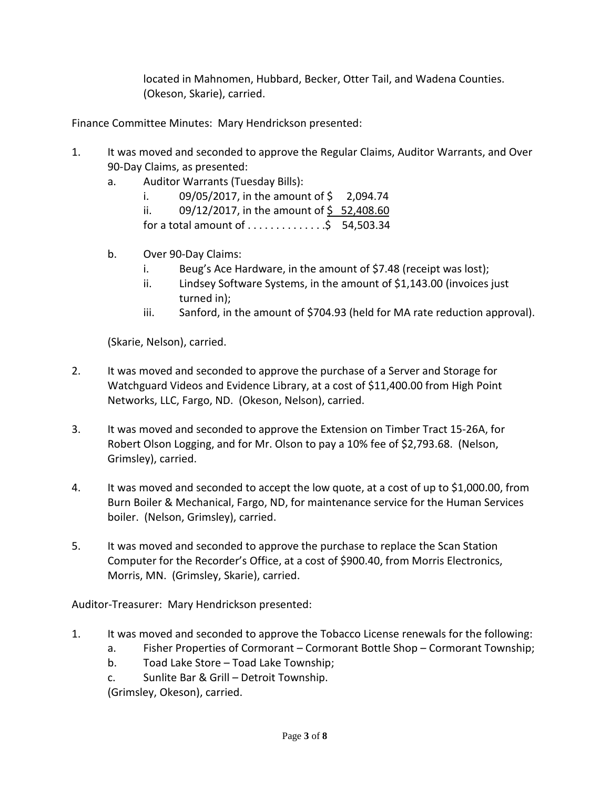located in Mahnomen, Hubbard, Becker, Otter Tail, and Wadena Counties. (Okeson, Skarie), carried.

Finance Committee Minutes: Mary Hendrickson presented:

- 1. It was moved and seconded to approve the Regular Claims, Auditor Warrants, and Over 90-Day Claims, as presented:
	- a. Auditor Warrants (Tuesday Bills):
		- i.  $09/05/2017$ , in the amount of \$ 2,094.74
		- ii. 09/12/2017, in the amount of  $\frac{6}{5}$  52,408.60
		- for a total amount of . . . . . . . . . . . . . .\$ 54,503.34
	- b. Over 90-Day Claims:
		- i. Beug's Ace Hardware, in the amount of \$7.48 (receipt was lost);
		- ii. Lindsey Software Systems, in the amount of \$1,143.00 (invoices just turned in);
		- iii. Sanford, in the amount of \$704.93 (held for MA rate reduction approval).

(Skarie, Nelson), carried.

- 2. It was moved and seconded to approve the purchase of a Server and Storage for Watchguard Videos and Evidence Library, at a cost of \$11,400.00 from High Point Networks, LLC, Fargo, ND. (Okeson, Nelson), carried.
- 3. It was moved and seconded to approve the Extension on Timber Tract 15-26A, for Robert Olson Logging, and for Mr. Olson to pay a 10% fee of \$2,793.68. (Nelson, Grimsley), carried.
- 4. It was moved and seconded to accept the low quote, at a cost of up to \$1,000.00, from Burn Boiler & Mechanical, Fargo, ND, for maintenance service for the Human Services boiler. (Nelson, Grimsley), carried.
- 5. It was moved and seconded to approve the purchase to replace the Scan Station Computer for the Recorder's Office, at a cost of \$900.40, from Morris Electronics, Morris, MN. (Grimsley, Skarie), carried.

Auditor-Treasurer: Mary Hendrickson presented:

- 1. It was moved and seconded to approve the Tobacco License renewals for the following:
	- a. Fisher Properties of Cormorant Cormorant Bottle Shop Cormorant Township;
	- b. Toad Lake Store Toad Lake Township;
	- c. Sunlite Bar & Grill Detroit Township.

(Grimsley, Okeson), carried.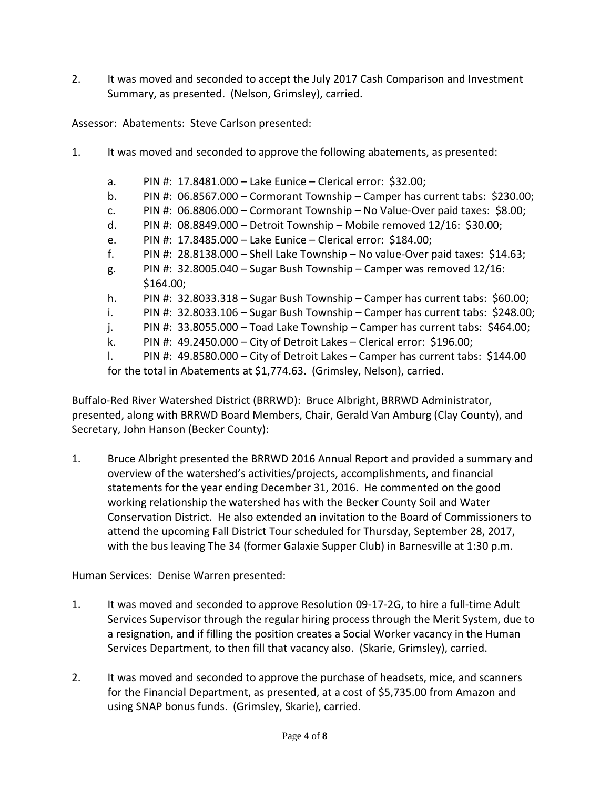2. It was moved and seconded to accept the July 2017 Cash Comparison and Investment Summary, as presented. (Nelson, Grimsley), carried.

Assessor: Abatements: Steve Carlson presented:

- 1. It was moved and seconded to approve the following abatements, as presented:
	- a. PIN #: 17.8481.000 Lake Eunice Clerical error: \$32.00;
	- b. PIN #: 06.8567.000 Cormorant Township Camper has current tabs: \$230.00;
	- c. PIN #: 06.8806.000 Cormorant Township No Value-Over paid taxes: \$8.00;
	- d. PIN #: 08.8849.000 Detroit Township Mobile removed 12/16: \$30.00;
	- e. PIN #: 17.8485.000 Lake Eunice Clerical error: \$184.00;
	- f. PIN #:  $28.8138.000 -$  Shell Lake Township No value-Over paid taxes:  $$14.63$ ;
	- g. PIN #:  $32.8005.040 -$  Sugar Bush Township Camper was removed  $12/16$ : \$164.00;
	- h. PIN #: 32.8033.318 Sugar Bush Township Camper has current tabs: \$60.00;
	- i. PIN #: 32.8033.106 Sugar Bush Township Camper has current tabs: \$248.00;
	- j. PIN #: 33.8055.000 Toad Lake Township Camper has current tabs: \$464.00;
	- k. PIN #: 49.2450.000 City of Detroit Lakes Clerical error: \$196.00;
	- l. PIN #: 49.8580.000 City of Detroit Lakes Camper has current tabs: \$144.00

for the total in Abatements at \$1,774.63. (Grimsley, Nelson), carried.

Buffalo-Red River Watershed District (BRRWD): Bruce Albright, BRRWD Administrator, presented, along with BRRWD Board Members, Chair, Gerald Van Amburg (Clay County), and Secretary, John Hanson (Becker County):

1. Bruce Albright presented the BRRWD 2016 Annual Report and provided a summary and overview of the watershed's activities/projects, accomplishments, and financial statements for the year ending December 31, 2016. He commented on the good working relationship the watershed has with the Becker County Soil and Water Conservation District. He also extended an invitation to the Board of Commissioners to attend the upcoming Fall District Tour scheduled for Thursday, September 28, 2017, with the bus leaving The 34 (former Galaxie Supper Club) in Barnesville at 1:30 p.m.

Human Services: Denise Warren presented:

- 1. It was moved and seconded to approve Resolution 09-17-2G, to hire a full-time Adult Services Supervisor through the regular hiring process through the Merit System, due to a resignation, and if filling the position creates a Social Worker vacancy in the Human Services Department, to then fill that vacancy also. (Skarie, Grimsley), carried.
- 2. It was moved and seconded to approve the purchase of headsets, mice, and scanners for the Financial Department, as presented, at a cost of \$5,735.00 from Amazon and using SNAP bonus funds. (Grimsley, Skarie), carried.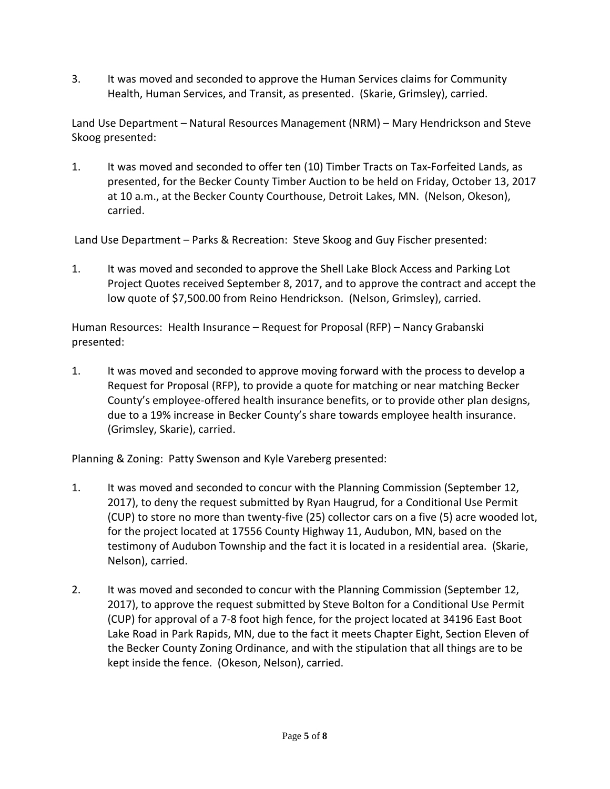3. It was moved and seconded to approve the Human Services claims for Community Health, Human Services, and Transit, as presented. (Skarie, Grimsley), carried.

Land Use Department – Natural Resources Management (NRM) – Mary Hendrickson and Steve Skoog presented:

1. It was moved and seconded to offer ten (10) Timber Tracts on Tax-Forfeited Lands, as presented, for the Becker County Timber Auction to be held on Friday, October 13, 2017 at 10 a.m., at the Becker County Courthouse, Detroit Lakes, MN. (Nelson, Okeson), carried.

Land Use Department – Parks & Recreation: Steve Skoog and Guy Fischer presented:

1. It was moved and seconded to approve the Shell Lake Block Access and Parking Lot Project Quotes received September 8, 2017, and to approve the contract and accept the low quote of \$7,500.00 from Reino Hendrickson. (Nelson, Grimsley), carried.

Human Resources: Health Insurance – Request for Proposal (RFP) – Nancy Grabanski presented:

1. It was moved and seconded to approve moving forward with the process to develop a Request for Proposal (RFP), to provide a quote for matching or near matching Becker County's employee-offered health insurance benefits, or to provide other plan designs, due to a 19% increase in Becker County's share towards employee health insurance. (Grimsley, Skarie), carried.

Planning & Zoning: Patty Swenson and Kyle Vareberg presented:

- 1. It was moved and seconded to concur with the Planning Commission (September 12, 2017), to deny the request submitted by Ryan Haugrud, for a Conditional Use Permit (CUP) to store no more than twenty-five (25) collector cars on a five (5) acre wooded lot, for the project located at 17556 County Highway 11, Audubon, MN, based on the testimony of Audubon Township and the fact it is located in a residential area. (Skarie, Nelson), carried.
- 2. It was moved and seconded to concur with the Planning Commission (September 12, 2017), to approve the request submitted by Steve Bolton for a Conditional Use Permit (CUP) for approval of a 7-8 foot high fence, for the project located at 34196 East Boot Lake Road in Park Rapids, MN, due to the fact it meets Chapter Eight, Section Eleven of the Becker County Zoning Ordinance, and with the stipulation that all things are to be kept inside the fence. (Okeson, Nelson), carried.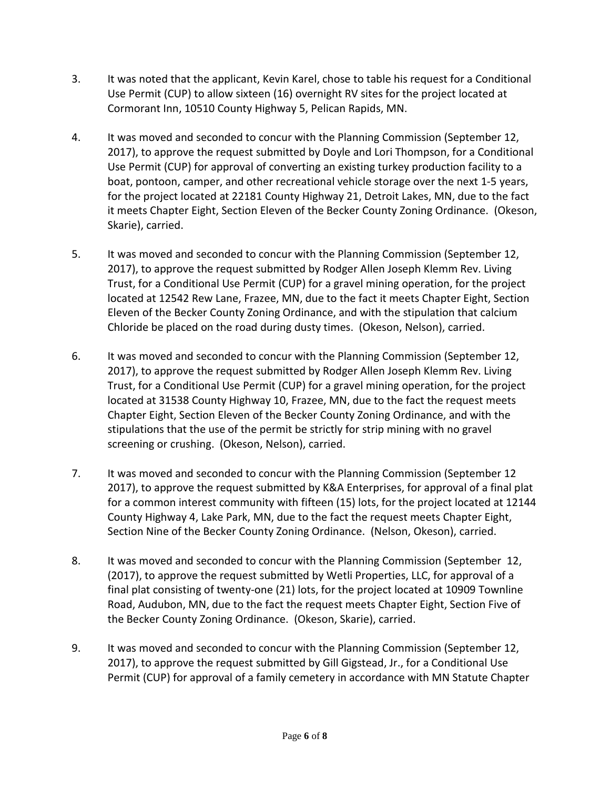- 3. It was noted that the applicant, Kevin Karel, chose to table his request for a Conditional Use Permit (CUP) to allow sixteen (16) overnight RV sites for the project located at Cormorant Inn, 10510 County Highway 5, Pelican Rapids, MN.
- 4. It was moved and seconded to concur with the Planning Commission (September 12, 2017), to approve the request submitted by Doyle and Lori Thompson, for a Conditional Use Permit (CUP) for approval of converting an existing turkey production facility to a boat, pontoon, camper, and other recreational vehicle storage over the next 1-5 years, for the project located at 22181 County Highway 21, Detroit Lakes, MN, due to the fact it meets Chapter Eight, Section Eleven of the Becker County Zoning Ordinance. (Okeson, Skarie), carried.
- 5. It was moved and seconded to concur with the Planning Commission (September 12, 2017), to approve the request submitted by Rodger Allen Joseph Klemm Rev. Living Trust, for a Conditional Use Permit (CUP) for a gravel mining operation, for the project located at 12542 Rew Lane, Frazee, MN, due to the fact it meets Chapter Eight, Section Eleven of the Becker County Zoning Ordinance, and with the stipulation that calcium Chloride be placed on the road during dusty times. (Okeson, Nelson), carried.
- 6. It was moved and seconded to concur with the Planning Commission (September 12, 2017), to approve the request submitted by Rodger Allen Joseph Klemm Rev. Living Trust, for a Conditional Use Permit (CUP) for a gravel mining operation, for the project located at 31538 County Highway 10, Frazee, MN, due to the fact the request meets Chapter Eight, Section Eleven of the Becker County Zoning Ordinance, and with the stipulations that the use of the permit be strictly for strip mining with no gravel screening or crushing. (Okeson, Nelson), carried.
- 7. It was moved and seconded to concur with the Planning Commission (September 12 2017), to approve the request submitted by K&A Enterprises, for approval of a final plat for a common interest community with fifteen (15) lots, for the project located at 12144 County Highway 4, Lake Park, MN, due to the fact the request meets Chapter Eight, Section Nine of the Becker County Zoning Ordinance. (Nelson, Okeson), carried.
- 8. It was moved and seconded to concur with the Planning Commission (September 12, (2017), to approve the request submitted by Wetli Properties, LLC, for approval of a final plat consisting of twenty-one (21) lots, for the project located at 10909 Townline Road, Audubon, MN, due to the fact the request meets Chapter Eight, Section Five of the Becker County Zoning Ordinance. (Okeson, Skarie), carried.
- 9. It was moved and seconded to concur with the Planning Commission (September 12, 2017), to approve the request submitted by Gill Gigstead, Jr., for a Conditional Use Permit (CUP) for approval of a family cemetery in accordance with MN Statute Chapter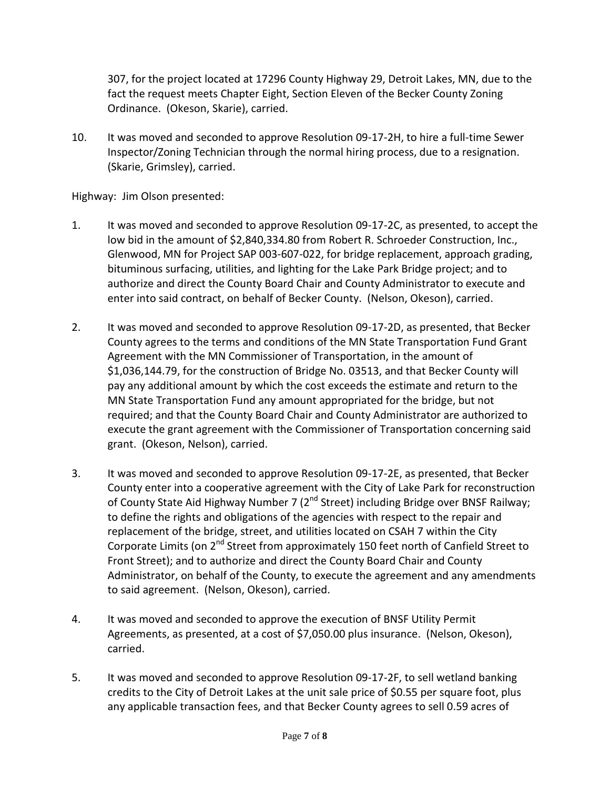307, for the project located at 17296 County Highway 29, Detroit Lakes, MN, due to the fact the request meets Chapter Eight, Section Eleven of the Becker County Zoning Ordinance. (Okeson, Skarie), carried.

10. It was moved and seconded to approve Resolution 09-17-2H, to hire a full-time Sewer Inspector/Zoning Technician through the normal hiring process, due to a resignation. (Skarie, Grimsley), carried.

Highway: Jim Olson presented:

- 1. It was moved and seconded to approve Resolution 09-17-2C, as presented, to accept the low bid in the amount of \$2,840,334.80 from Robert R. Schroeder Construction, Inc., Glenwood, MN for Project SAP 003-607-022, for bridge replacement, approach grading, bituminous surfacing, utilities, and lighting for the Lake Park Bridge project; and to authorize and direct the County Board Chair and County Administrator to execute and enter into said contract, on behalf of Becker County. (Nelson, Okeson), carried.
- 2. It was moved and seconded to approve Resolution 09-17-2D, as presented, that Becker County agrees to the terms and conditions of the MN State Transportation Fund Grant Agreement with the MN Commissioner of Transportation, in the amount of \$1,036,144.79, for the construction of Bridge No. 03513, and that Becker County will pay any additional amount by which the cost exceeds the estimate and return to the MN State Transportation Fund any amount appropriated for the bridge, but not required; and that the County Board Chair and County Administrator are authorized to execute the grant agreement with the Commissioner of Transportation concerning said grant. (Okeson, Nelson), carried.
- 3. It was moved and seconded to approve Resolution 09-17-2E, as presented, that Becker County enter into a cooperative agreement with the City of Lake Park for reconstruction of County State Aid Highway Number 7 (2<sup>nd</sup> Street) including Bridge over BNSF Railway; to define the rights and obligations of the agencies with respect to the repair and replacement of the bridge, street, and utilities located on CSAH 7 within the City Corporate Limits (on 2<sup>nd</sup> Street from approximately 150 feet north of Canfield Street to Front Street); and to authorize and direct the County Board Chair and County Administrator, on behalf of the County, to execute the agreement and any amendments to said agreement. (Nelson, Okeson), carried.
- 4. It was moved and seconded to approve the execution of BNSF Utility Permit Agreements, as presented, at a cost of \$7,050.00 plus insurance. (Nelson, Okeson), carried.
- 5. It was moved and seconded to approve Resolution 09-17-2F, to sell wetland banking credits to the City of Detroit Lakes at the unit sale price of \$0.55 per square foot, plus any applicable transaction fees, and that Becker County agrees to sell 0.59 acres of